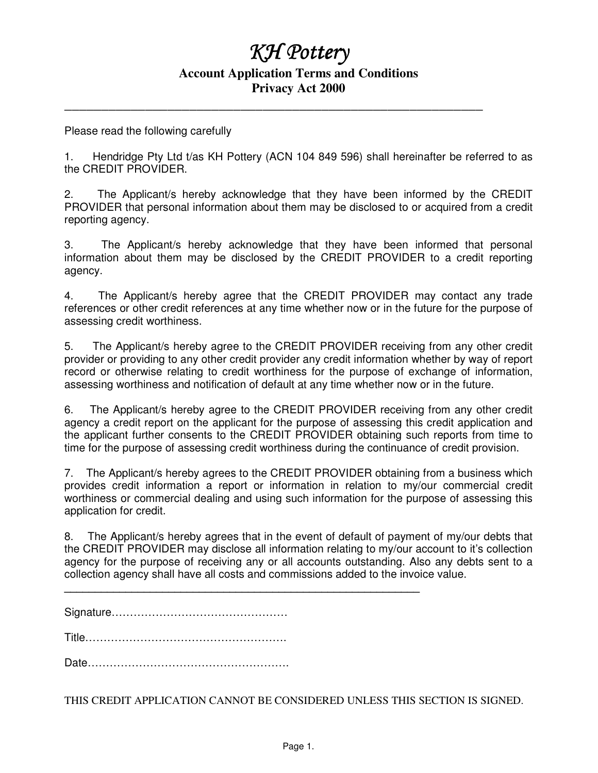## $K$ *H* Pottery

## **Account Application Terms and Conditions Privacy Act 2000**

**\_\_\_\_\_\_\_\_\_\_\_\_\_\_\_\_\_\_\_\_\_\_\_\_\_\_\_\_\_\_\_\_\_\_\_\_\_\_\_\_\_\_\_\_\_\_\_\_\_\_\_\_\_\_\_\_\_** 

Please read the following carefully

1. Hendridge Pty Ltd t/as KH Pottery (ACN 104 849 596) shall hereinafter be referred to as the CREDIT PROVIDER.

2. The Applicant/s hereby acknowledge that they have been informed by the CREDIT PROVIDER that personal information about them may be disclosed to or acquired from a credit reporting agency.

3. The Applicant/s hereby acknowledge that they have been informed that personal information about them may be disclosed by the CREDIT PROVIDER to a credit reporting agency.

4. The Applicant/s hereby agree that the CREDIT PROVIDER may contact any trade references or other credit references at any time whether now or in the future for the purpose of assessing credit worthiness.

5. The Applicant/s hereby agree to the CREDIT PROVIDER receiving from any other credit provider or providing to any other credit provider any credit information whether by way of report record or otherwise relating to credit worthiness for the purpose of exchange of information, assessing worthiness and notification of default at any time whether now or in the future.

6. The Applicant/s hereby agree to the CREDIT PROVIDER receiving from any other credit agency a credit report on the applicant for the purpose of assessing this credit application and the applicant further consents to the CREDIT PROVIDER obtaining such reports from time to time for the purpose of assessing credit worthiness during the continuance of credit provision.

7. The Applicant/s hereby agrees to the CREDIT PROVIDER obtaining from a business which provides credit information a report or information in relation to my/our commercial credit worthiness or commercial dealing and using such information for the purpose of assessing this application for credit.

8. The Applicant/s hereby agrees that in the event of default of payment of my/our debts that the CREDIT PROVIDER may disclose all information relating to my/our account to it's collection agency for the purpose of receiving any or all accounts outstanding. Also any debts sent to a collection agency shall have all costs and commissions added to the invoice value.

**\_\_\_\_\_\_\_\_\_\_\_\_\_\_\_\_\_\_\_\_\_\_\_\_\_\_\_\_\_\_\_\_\_\_\_\_\_\_\_\_\_\_\_\_\_\_\_\_\_\_\_\_\_\_\_\_\_\_** 

Signature…………………………………………

Title……………………………………………….

Date……………………………………………….

THIS CREDIT APPLICATION CANNOT BE CONSIDERED UNLESS THIS SECTION IS SIGNED.